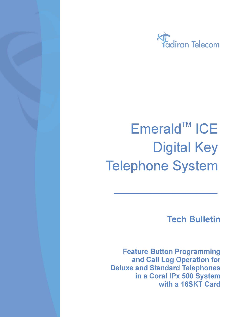

# Emerald™ ICE **Digital Key Telephone System**

**Tech Bulletin** 

**Feature Button Programming** and Call Log Operation for **Deluxe and Standard Telephones** in a Coral IPx 500 System with a 16SKT Card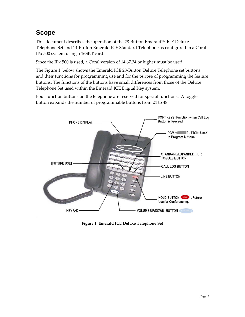# <span id="page-1-0"></span>**Scope**

This document describes the operation of the 28‐Button Emerald™ ICE Deluxe Telephone Set and 14‐Button Emerald ICE Standard Telephone as configured in a Coral IPx 500 system using a 16SKT card.

Since the IPx 500 is used, a Coral version of 14.67.34 or higher must be used.

The [Figure](#page-1-0) 1 below shows the Emerald ICE 28‐Button Deluxe Telephone set buttons and their functions for programming use and for the purpse of programming the feature buttons. The functions of the buttons have small differences from those of the Deluxe Telephone Set used within the Emerald ICE Digital Key system.

Four function buttons on the telephone are reserved for special functions. A toggle button expands the number of programmable buttons from 24 to 48.



**Figure 1. Emerald ICE Deluxe Telephone Set**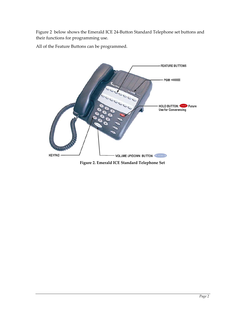<span id="page-2-0"></span>[Figure](#page-2-0) 2 below shows the Emerald ICE 24‐Button Standard Telephone set buttons and their functions for programming use.

All of the Feature Buttons can be programmed.



**Figure 2. Emerald ICE Standard Telephone Set**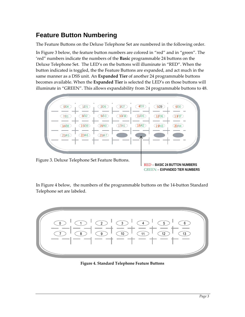## <span id="page-3-0"></span>**Feature Button Numbering**

The Feature Buttons on the Deluxe Telephone Set are numbered in the following order.

In [Figure](#page-3-0) 3 below, the feature button numbers are colored in "red" and in "green". The 'red" numbers indicate the numbers of the **Basic** programmable 24 buttons on the Deluxe Telephone Set. The LED's on the buttons will illuminate in "RED". When the button indicated is toggled, the the Feature Buttons are expanded, and act much in the same manner as a DSS unit. An **Expanded Tier** of another 24 programmable buttons becomes available. When the **Expanded Tier** is selected the LED's on those buttons will illuminate in "GREEN". This allows expandability from 24 programmable buttons to 48.



RED – **BASIC 24 BUTTON NUMBERS** GREEN – **EXPANDED TIER NUMBERS**

In [Figure](#page-3-0) 4 below, the numbers of the programmable buttons on the 14‐button Standard Telephone set are labeled.



**Figure 4. Standard Telephone Feature Buttons**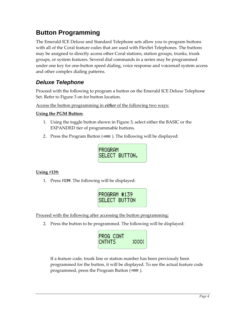## **Button Programming**

The Emerald ICE Deluxe and Standard Telephone sets allow you to program buttons with all of the Coral feature codes that are used with FlexSet Telephones. The buttons may be assigned to directly access other Coral stations, station groups, trunks, trunk groups, or system features. Several dial commands in a series may be programmed under one key for one‐button speed dialing, voice response and voicemail system access and other complex dialing patterns.

## *Deluxe Telephone*

Proceed with the following to program a button on the Emerald ICE Deluxe Telephone Set. Refer to [Figure](#page-3-0) 3 on for button location.

Access the button programming in *either* of the following two ways:

#### **Using the PGM Button:**

- 1. Using the toggle button shown in [Figure](#page-3-0) 3, select either the BASIC or the EXPANDED tier of programmable buttons.
- 2. Press the Program Button  $($  ). The following will be displayed:



#### **Using #139:**

1. Press **#139**. The following will be displayed:



Proceed with the following after accessing the button programming:

2. Press the button to be programmed. The following will be displayed:



If a feature code, trunk line or station number has been previously been programmed for the button, it will be displayed. To see the actual feature code programmed, press the Program Button  $($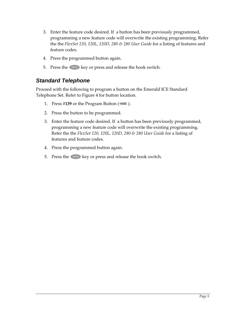- 3. Enter the feature code desired. If a button has been previously programmed, programming a new feature code will overwrite the existing programming. Refer the the *FlexSet 120, 120L, 120D, 280 & 280 User Guide* for a listing of features and feature codes.
- 4. Press the programmed button again.
- 5. Press the SPKR key or press and release the hook switch.

### *Standard Telephone*

Proceed with the following to program a button on the Emerald ICE Standard Telephone Set. Refer to [Figure](#page-3-0) 4 for button location.

- 1. Press  $\#139$  or the Program Button ( $\Box$ ).
- 2. Press the button to be programmed.
- 3. Enter the feature code desired. If a button has been previously programmed, programming a new feature code will overwrite the existing programming. Refer the the *FlexSet 120, 120L, 120D, 280 & 280 User Guide* for a listing of features and feature codes.
- 4. Press the programmed button again.
- 5. Press the  $\left($  SPKR  $\right)$  key or press and release the hook switch.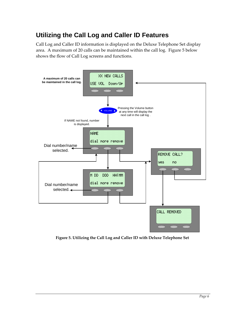## <span id="page-6-0"></span>**Utilizing the Call Log and Caller ID Features**

Call Log and Caller ID information is displayed on the Deluxe Telephone Set display area. A maximum of 20 calls can be maintained within the call log. [Figure](#page-6-0) 5 below shows the flow of Call Log screens and functions.



**Figure 5. Utilizing the Call Log and Caller ID with Deluxe Telephone Set**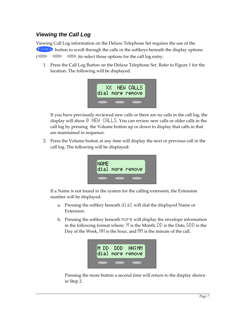## *Viewing the Call Log*

Viewing Call Log information on the Deluxe Telephone Set requires the use of the **V** VOLUME  $\bullet$  button to scroll through the calls or the softkeys beneath the display options  $\circ$   $\circ$  )to select those options for the call log entry.

1. Press the Call Log Button on the Deluxe Telephone Set. Refer to [Figure](#page-1-0) 1 for the location. The following will be displayed.



If you have previously reviewed new calls or there are no calls in the call log, the display will show  $\Theta$  NEW CALLS. You can review new calls or older calls in the call log by pressing the Volume button up or down to display that calls in that are maintained in sequence.

2. Press the Volume button at any time will display the next or previous call in the call log. The following will be displayed:

| <b>NAME</b> | dial more remove |
|-------------|------------------|
|             |                  |

If a Name is not found in the system for the calling extension, the Extension number will be displayed.

- a. Pressing the softkey beneath  $\exists i \exists l$  will dial the displayed Name or Extension.
- b. Pressing the softkey beneath more will display the envelope information in the following format where;  $\mathbb N$  is the Month,  $\mathbb D \mathbb D$  is the Date,  $\mathbb D \mathbb D$  is the Day of the Week,  $H$  is the hour, and  $M$  is the minute of the call.



Pressing the more button a second time will return to the display shown in Step 2.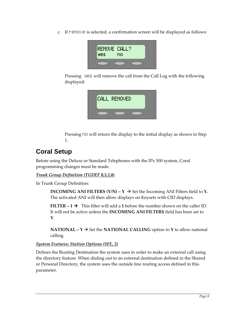c. If remove is selected, a confirmation screen will be displayed as follows:



Pressing  $\equiv$  will remove the call from the Call Log with the following displayed:



Pressing  $\cap$  will return the display to the initial display as shown in Step 1.

# **Coral Setup**

Before using the Deluxe or Standard Telephones with the IPx 500 system, Coral programming changes must be made.

*Trunk Group Definition (TGDEF 0,5,1,0)*

In Trunk Group Definition:

**INCOMING ANI FILTERS**  $(Y/N) - Y \rightarrow$  Set the Incoming ANI Filters field to **Y**. The activated ANI will then allow displays on Keysets with CID displays.

**FILTER – 1**  $\rightarrow$  This filter will add a 1 before the number shown on the caller ID. It will not be active unless the **INCOMING ANI FILTERS** field has been set to **Y**.

**NATIONAL –**  $Y \rightarrow$  **Set the <b>NATIONAL CALLING** option to **Y** to allow national calling.

#### *System Features: Station Options (SFE, 2)*

Defines the Routing Destination the system uses in order to make an external call using the directory feature. When dialing out to an external destination defined in the Shared or Personal Directory, the system uses the outside line routing access defined in this parameter.